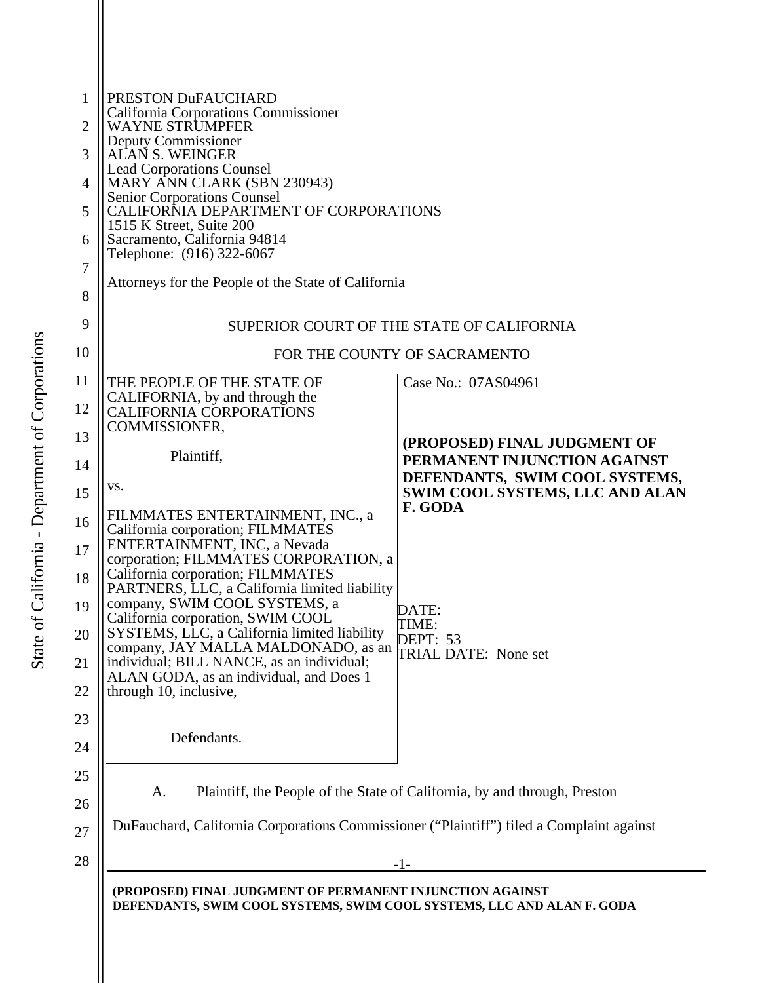| 2<br>4<br>5<br>6                             | PRESTON DuFAUCHARD<br>California Corporations Commissioner<br><b>WAYNE STRUMPFER</b><br>Deputy Commissioner<br>ALAN S. WEINGER<br><b>Lead Corporations Counsel</b><br>MARY ANN CLARK (SBN 230943)<br><b>Senior Corporations Counsel</b><br>CALIFORNIA DEPARTMENT OF CORPORATIONS<br>1515 K Street, Suite 200<br>Sacramento, California 94814<br>Telephone: (916) 322-6067<br>Attorneys for the People of the State of California                                                                                    |                                                                                                |
|----------------------------------------------|---------------------------------------------------------------------------------------------------------------------------------------------------------------------------------------------------------------------------------------------------------------------------------------------------------------------------------------------------------------------------------------------------------------------------------------------------------------------------------------------------------------------|------------------------------------------------------------------------------------------------|
| 9                                            | SUPERIOR COURT OF THE STATE OF CALIFORNIA                                                                                                                                                                                                                                                                                                                                                                                                                                                                           |                                                                                                |
| 10                                           | FOR THE COUNTY OF SACRAMENTO                                                                                                                                                                                                                                                                                                                                                                                                                                                                                        |                                                                                                |
| 11<br>12                                     | THE PEOPLE OF THE STATE OF<br>CALIFORNIA, by and through the<br><b>CALIFORNIA CORPORATIONS</b>                                                                                                                                                                                                                                                                                                                                                                                                                      | Case No.: 07AS04961                                                                            |
| 13<br>14                                     | COMMISSIONER,<br>Plaintiff,                                                                                                                                                                                                                                                                                                                                                                                                                                                                                         | (PROPOSED) FINAL JUDGMENT OF<br>PERMANENT INJUNCTION AGAINST<br>DEFENDANTS, SWIM COOL SYSTEMS, |
| 15                                           | VS.                                                                                                                                                                                                                                                                                                                                                                                                                                                                                                                 | <b>SWIM COOL SYSTEMS, LLC AND ALAN</b>                                                         |
| 16<br>17<br>18<br>19<br>20<br>21<br>22<br>23 | FILMMATES ENTERTAINMENT, INC., a<br>California corporation; FILMMATES<br>ENTERTAINMENT, INC, a Nevada<br>corporation; FILMMATES CORPORATION, a<br>California corporation; FILMMATES<br>PARTNERS, LLC, a California limited liability<br>company, SWIM COOL SYSTEMS, a<br>California corporation, SWIM COOL<br>SYSTEMS, LLC, a California limited liability<br>company, JAY MALLA MALDONADO, as an<br>individual; BILL NANCE, as an individual;<br>ALAN GODA, as an individual, and Does 1<br>through 10, inclusive, | F. GODA<br>DATE:<br>TIME:<br>DEPT: 53<br>TRIAL DATE: None set                                  |
| 24<br>25                                     | Defendants.                                                                                                                                                                                                                                                                                                                                                                                                                                                                                                         |                                                                                                |
| 26                                           | Plaintiff, the People of the State of California, by and through, Preston<br>A.                                                                                                                                                                                                                                                                                                                                                                                                                                     |                                                                                                |
| 27                                           | DuFauchard, California Corporations Commissioner ("Plaintiff") filed a Complaint against                                                                                                                                                                                                                                                                                                                                                                                                                            |                                                                                                |
| 28                                           | $-1-$                                                                                                                                                                                                                                                                                                                                                                                                                                                                                                               |                                                                                                |
|                                              | (PROPOSED) FINAL JUDGMENT OF PERMANENT INJUNCTION AGAINST<br>DEFENDANTS, SWIM COOL SYSTEMS, SWIM COOL SYSTEMS, LLC AND ALAN F. GODA                                                                                                                                                                                                                                                                                                                                                                                 |                                                                                                |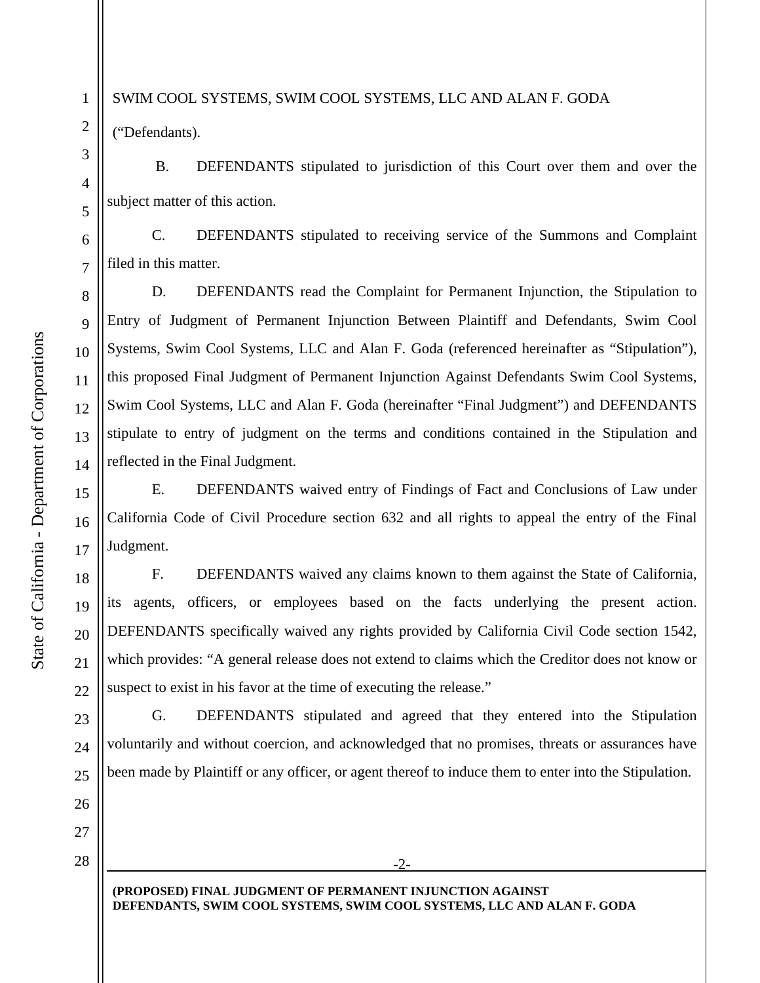## SWIM COOL SYSTEMS, SWIM COOL SYSTEMS, LLC AND ALAN F. GODA

("Defendants).

1

2

3

4

5

6

7

8

9

10

11

12

13

14

15

16

17

18

19

20

21

22

23

24

25

26

27

 B. DEFENDANTS stipulated to jurisdiction of this Court over them and over the subject matter of this action.

C. DEFENDANTS stipulated to receiving service of the Summons and Complaint filed in this matter.

D. DEFENDANTS read the Complaint for Permanent Injunction, the Stipulation to Entry of Judgment of Permanent Injunction Between Plaintiff and Defendants, Swim Cool Systems, Swim Cool Systems, LLC and Alan F. Goda (referenced hereinafter as "Stipulation"), this proposed Final Judgment of Permanent Injunction Against Defendants Swim Cool Systems, Swim Cool Systems, LLC and Alan F. Goda (hereinafter "Final Judgment") and DEFENDANTS stipulate to entry of judgment on the terms and conditions contained in the Stipulation and reflected in the Final Judgment.

E. DEFENDANTS waived entry of Findings of Fact and Conclusions of Law under California Code of Civil Procedure section 632 and all rights to appeal the entry of the Final Judgment.

F. DEFENDANTS waived any claims known to them against the State of California, its agents, officers, or employees based on the facts underlying the present action. DEFENDANTS specifically waived any rights provided by California Civil Code section 1542, which provides: "A general release does not extend to claims which the Creditor does not know or suspect to exist in his favor at the time of executing the release."

G. DEFENDANTS stipulated and agreed that they entered into the Stipulation voluntarily and without coercion, and acknowledged that no promises, threats or assurances have been made by Plaintiff or any officer, or agent thereof to induce them to enter into the Stipulation.

-2-

28

**(PROPOSED) FINAL JUDGMENT OF PERMANENT INJUNCTION AGAINST DEFENDANTS, SWIM COOL SYSTEMS, SWIM COOL SYSTEMS, LLC AND ALAN F. GODA**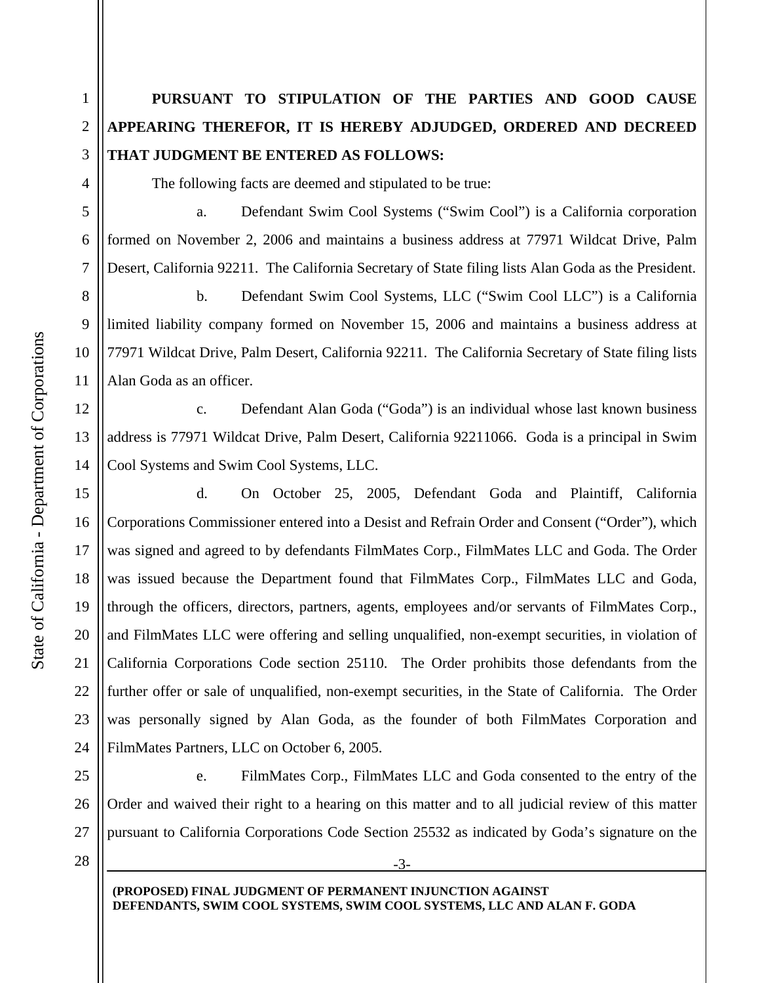## **PURSUANT TO STIPULATION OF THE PARTIES AND GOOD CAUSE APPEARING THEREFOR, IT IS HEREBY ADJUDGED, ORDERED AND DECREED THAT JUDGMENT BE ENTERED AS FOLLOWS:**

The following facts are deemed and stipulated to be true:

 a. Defendant Swim Cool Systems ("Swim Cool") is a California corporation formed on November 2, 2006 and maintains a business address at 77971 Wildcat Drive, Palm Desert, California 92211. The California Secretary of State filing lists Alan Goda as the President.

 b. Defendant Swim Cool Systems, LLC ("Swim Cool LLC") is a California limited liability company formed on November 15, 2006 and maintains a business address at 77971 Wildcat Drive, Palm Desert, California 92211. The California Secretary of State filing lists Alan Goda as an officer.

 c. Defendant Alan Goda ("Goda") is an individual whose last known business address is 77971 Wildcat Drive, Palm Desert, California 92211066. Goda is a principal in Swim Cool Systems and Swim Cool Systems, LLC.

 d. On October 25, 2005, Defendant Goda and Plaintiff, California Corporations Commissioner entered into a Desist and Refrain Order and Consent ("Order"), which was signed and agreed to by defendants FilmMates Corp., FilmMates LLC and Goda. The Order was issued because the Department found that FilmMates Corp., FilmMates LLC and Goda, through the officers, directors, partners, agents, employees and/or servants of FilmMates Corp., and FilmMates LLC were offering and selling unqualified, non-exempt securities, in violation of California Corporations Code section 25110. The Order prohibits those defendants from the further offer or sale of unqualified, non-exempt securities, in the State of California. The Order was personally signed by Alan Goda, as the founder of both FilmMates Corporation and FilmMates Partners, LLC on October 6, 2005.

25 26 27 e. FilmMates Corp., FilmMates LLC and Goda consented to the entry of the Order and waived their right to a hearing on this matter and to all judicial review of this matter pursuant to California Corporations Code Section 25532 as indicated by Goda's signature on the

-3-

28

**(PROPOSED) FINAL JUDGMENT OF PERMANENT INJUNCTION AGAINST DEFENDANTS, SWIM COOL SYSTEMS, SWIM COOL SYSTEMS, LLC AND ALAN F. GODA**

1

2

3

4

5

6

7

8

9

10

11

12

13

14

15

16

17

18

19

20

21

22

23

24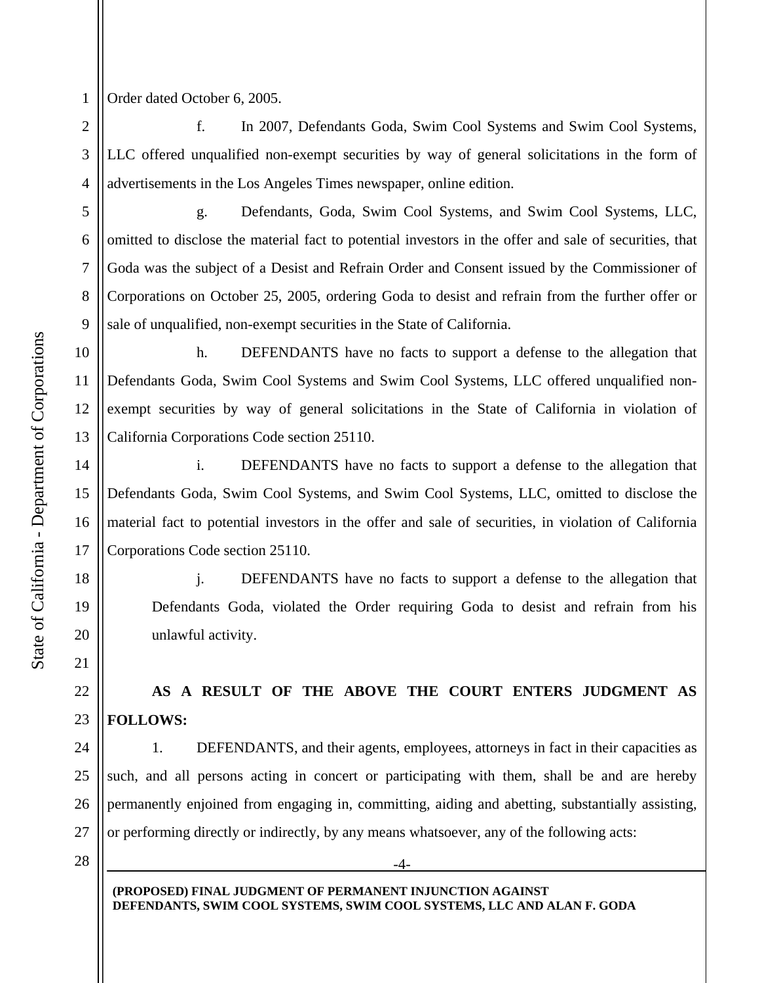1 Order dated October 6, 2005.

2

3

4

5

6

7

8

9

14

15

16

17

18

19

20

21

22

23

24

25

26

27

 f. In 2007, Defendants Goda, Swim Cool Systems and Swim Cool Systems, LLC offered unqualified non-exempt securities by way of general solicitations in the form of advertisements in the Los Angeles Times newspaper, online edition.

 g. Defendants, Goda, Swim Cool Systems, and Swim Cool Systems, LLC, omitted to disclose the material fact to potential investors in the offer and sale of securities, that Goda was the subject of a Desist and Refrain Order and Consent issued by the Commissioner of Corporations on October 25, 2005, ordering Goda to desist and refrain from the further offer or sale of unqualified, non-exempt securities in the State of California.

10 11 12 13 h. DEFENDANTS have no facts to support a defense to the allegation that Defendants Goda, Swim Cool Systems and Swim Cool Systems, LLC offered unqualified nonexempt securities by way of general solicitations in the State of California in violation of California Corporations Code section 25110.

 i. DEFENDANTS have no facts to support a defense to the allegation that Defendants Goda, Swim Cool Systems, and Swim Cool Systems, LLC, omitted to disclose the material fact to potential investors in the offer and sale of securities, in violation of California Corporations Code section 25110.

j. DEFENDANTS have no facts to support a defense to the allegation that Defendants Goda, violated the Order requiring Goda to desist and refrain from his unlawful activity.

## **AS A RESULT OF THE ABOVE THE COURT ENTERS JUDGMENT AS FOLLOWS:**

1. DEFENDANTS, and their agents, employees, attorneys in fact in their capacities as such, and all persons acting in concert or participating with them, shall be and are hereby permanently enjoined from engaging in, committing, aiding and abetting, substantially assisting, or performing directly or indirectly, by any means whatsoever, any of the following acts:

-4-

28

**(PROPOSED) FINAL JUDGMENT OF PERMANENT INJUNCTION AGAINST DEFENDANTS, SWIM COOL SYSTEMS, SWIM COOL SYSTEMS, LLC AND ALAN F. GODA**